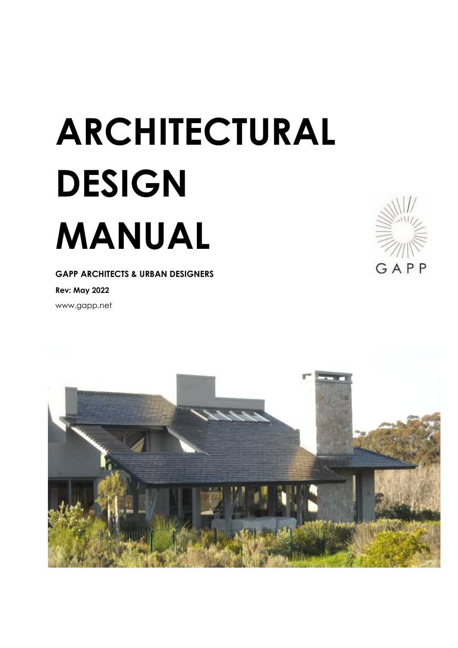# **ARCHITECTURAL DESIGN MANUAL**

**GAPP ARCHITECTS & URBAN DESIGNERS**

**Rev: May 2022**

www.gapp.net



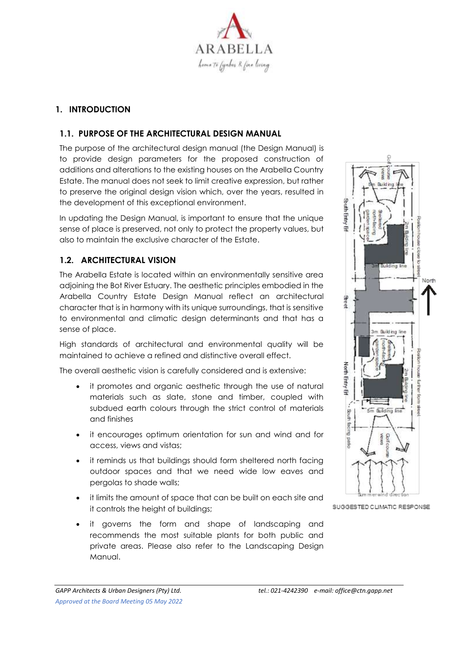

# **1. INTRODUCTION**

#### **1.1. PURPOSE OF THE ARCHITECTURAL DESIGN MANUAL**

The purpose of the architectural design manual (the Design Manual) is to provide design parameters for the proposed construction of additions and alterations to the existing houses on the Arabella Country Estate. The manual does not seek to limit creative expression, but rather to preserve the original design vision which, over the years, resulted in the development of this exceptional environment.

In updating the Design Manual, is important to ensure that the unique sense of place is preserved, not only to protect the property values, but also to maintain the exclusive character of the Estate.

#### **1.2. ARCHITECTURAL VISION**

The Arabella Estate is located within an environmentally sensitive area adjoining the Bot River Estuary. The aesthetic principles embodied in the Arabella Country Estate Design Manual reflect an architectural character that is in harmony with its unique surroundings, that is sensitive to environmental and climatic design determinants and that has a sense of place.

High standards of architectural and environmental quality will be maintained to achieve a refined and distinctive overall effect.

The overall aesthetic vision is carefully considered and is extensive:

- it promotes and organic aesthetic through the use of natural materials such as slate, stone and timber, coupled with subdued earth colours through the strict control of materials and finishes
- it encourages optimum orientation for sun and wind and for access, views and vistas;
- it reminds us that buildings should form sheltered north facing outdoor spaces and that we need wide low eaves and pergolas to shade walls;
- it limits the amount of space that can be built on each site and it controls the height of buildings;
- it governs the form and shape of landscaping and recommends the most suitable plants for both public and private areas. Please also refer to the Landscaping Design Manual.



SUGGESTED CLIMATIC RESPONSE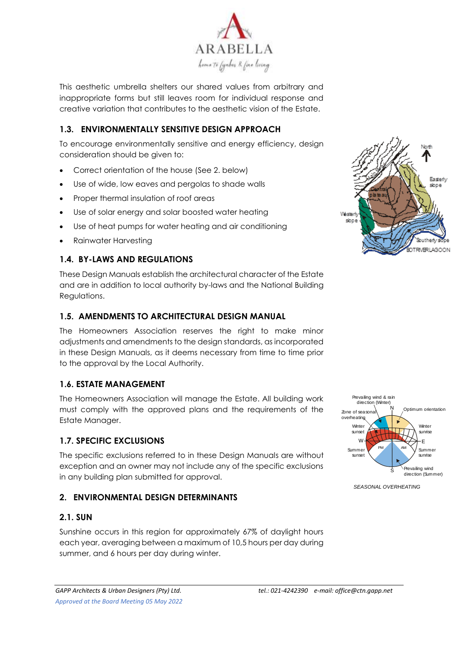

This aesthetic umbrella shelters our shared values from arbitrary and inappropriate forms but still leaves room for individual response and creative variation that contributes to the aesthetic vision of the Estate.

# **1.3. ENVIRONMENTALLY SENSITIVE DESIGN APPROACH**

To encourage environmentally sensitive and energy efficiency, design consideration should be given to:

- Correct orientation of the house (See 2. below)
- Use of wide, low eaves and pergolas to shade walls
- Proper thermal insulation of roof areas
- Use of solar energy and solar boosted water heating
- Use of heat pumps for water heating and air conditioning
- Rainwater Harvesting

# **1.4. BY-LAWS AND REGULATIONS**

These Design Manuals establish the architectural character of the Estate and are in addition to local authority by-laws and the National Building Regulations.

# **1.5. AMENDMENTS TO ARCHITECTURAL DESIGN MANUAL**

The Homeowners Association reserves the right to make minor adjustments and amendments to the design standards, as incorporated in these Design Manuals, as it deems necessary from time to time prior to the approval by the Local Authority.

#### **1.6. ESTATE MANAGEMENT**

The Homeowners Association will manage the Estate. All building work must comply with the approved plans and the requirements of the Estate Manager.

#### **1.7. SPECIFIC EXCLUSIONS**

The specific exclusions referred to in these Design Manuals are without exception and an owner may not include any of the specific exclusions in any building plan submitted for approval.

#### **2. ENVIRONMENTAL DESIGN DETERMINANTS**

#### **2.1. SUN**

Sunshine occurs in this region for approximately 67% of daylight hours each year, averaging between a maximum of 10,5 hours per day during summer, and 6 hours per day during winter.





*SEASONAL OVERHEATING*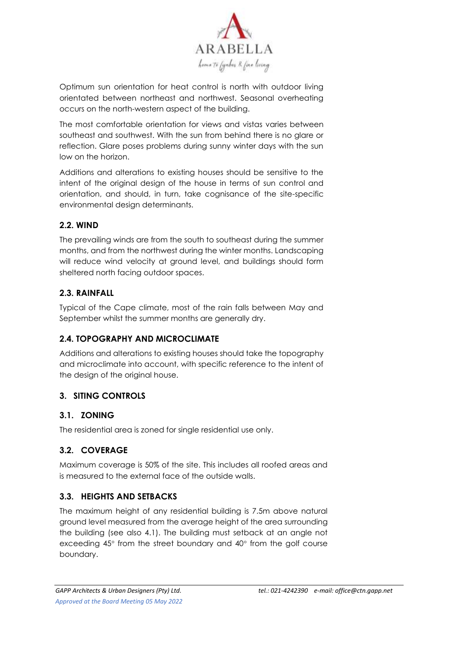

Optimum sun orientation for heat control is north with outdoor living orientated between northeast and northwest. Seasonal overheating occurs on the north-western aspect of the building.

The most comfortable orientation for views and vistas varies between southeast and southwest. With the sun from behind there is no glare or reflection. Glare poses problems during sunny winter days with the sun low on the horizon.

Additions and alterations to existing houses should be sensitive to the intent of the original design of the house in terms of sun control and orientation, and should, in turn, take cognisance of the site-specific environmental design determinants.

# **2.2. WIND**

The prevailing winds are from the south to southeast during the summer months, and from the northwest during the winter months. Landscaping will reduce wind velocity at ground level, and buildings should form sheltered north facing outdoor spaces.

# **2.3. RAINFALL**

Typical of the Cape climate, most of the rain falls between May and September whilst the summer months are generally dry.

# **2.4. TOPOGRAPHY AND MICROCLIMATE**

Additions and alterations to existing houses should take the topography and microclimate into account, with specific reference to the intent of the design of the original house.

# **3. SITING CONTROLS**

# **3.1. ZONING**

The residential area is zoned for single residential use only.

# **3.2. COVERAGE**

Maximum coverage is 50% of the site. This includes all roofed areas and is measured to the external face of the outside walls.

# **3.3. HEIGHTS AND SETBACKS**

The maximum height of any residential building is 7.5m above natural ground level measured from the average height of the area surrounding the building (see also 4.1). The building must setback at an angle not exceeding  $45^\circ$  from the street boundary and  $40^\circ$  from the golf course boundary.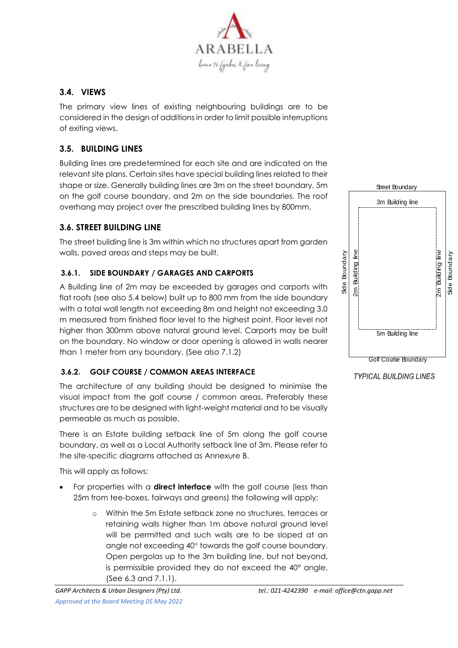

# **3.4. VIEWS**

The primary view lines of existing neighbouring buildings are to be considered in the design of additions in order to limit possible interruptions of exiting views.

# **3.5. BUILDING LINES**

Building lines are predetermined for each site and are indicated on the relevant site plans. Certain sites have special building lines related to their shape or size. Generally building lines are 3m on the street boundary, 5m on the golf course boundary, and 2m on the side boundaries. The roof overhang may project over the prescribed building lines by 800mm.

# **3.6. STREET BUILDING LINE**

The street building line is 3m within which no structures apart from garden walls, paved areas and steps may be built.

#### **3.6.1. SIDE BOUNDARY / GARAGES AND CARPORTS**

A Building line of 2m may be exceeded by garages and carports with flat roofs (see also 5.4 below) built up to 800 mm from the side boundary with a total wall length not exceeding 8m and height not exceeding 3.0 m measured from finished floor level to the highest point. Floor level not higher than 300mm above natural ground level. Carports may be built on the boundary. No window or door opening is allowed in walls nearer than 1 meter from any boundary. (See also 7.1.2)

#### **3.6.2. GOLF COURSE / COMMON AREAS INTERFACE**

The architecture of any building should be designed to minimise the visual impact from the golf course / common areas. Preferably these structures are to be designed with light-weight material and to be visually permeable as much as possible.

There is an Estate building setback line of 5m along the golf course boundary, as well as a Local Authority setback line of 3m. Please refer to the site-specific diagrams attached as Annexure B.

This will apply as follows:

- For properties with a **direct interface** with the golf course (less than 25m from tee-boxes, fairways and greens) the following will apply:
	- o Within the 5m Estate setback zone no structures, terraces or retaining walls higher than 1m above natural ground level will be permitted and such walls are to be sloped at an angle not exceeding 40° towards the golf course boundary. Open pergolas up to the 3m building line, but not beyond, is permissible provided they do not exceed the 40° angle. (See 6.3 and 7.1.1).



**TYPICAL BUILDING LINES**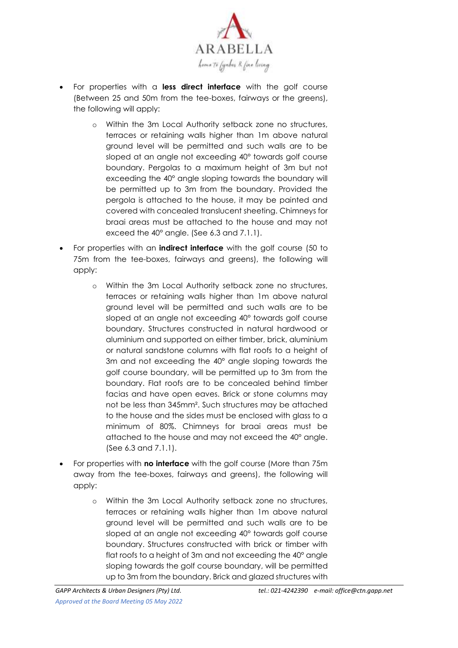

- For properties with a **less direct interface** with the golf course (Between 25 and 50m from the tee-boxes, fairways or the greens), the following will apply:
	- o Within the 3m Local Authority setback zone no structures, terraces or retaining walls higher than 1m above natural ground level will be permitted and such walls are to be sloped at an angle not exceeding 40° towards golf course boundary. Pergolas to a maximum height of 3m but not exceeding the 40° angle sloping towards the boundary will be permitted up to 3m from the boundary. Provided the pergola is attached to the house, it may be painted and covered with concealed translucent sheeting. Chimneys for braai areas must be attached to the house and may not exceed the 40° angle. (See 6.3 and 7.1.1).
- For properties with an **indirect interface** with the golf course (50 to 75m from the tee-boxes, fairways and greens), the following will apply:
	- o Within the 3m Local Authority setback zone no structures, terraces or retaining walls higher than 1m above natural ground level will be permitted and such walls are to be sloped at an angle not exceeding 40° towards golf course boundary. Structures constructed in natural hardwood or aluminium and supported on either timber, brick, aluminium or natural sandstone columns with flat roofs to a height of 3m and not exceeding the 40° angle sloping towards the golf course boundary, will be permitted up to 3m from the boundary. Flat roofs are to be concealed behind timber facias and have open eaves. Brick or stone columns may not be less than 345mm². Such structures may be attached to the house and the sides must be enclosed with glass to a minimum of 80%. Chimneys for braai areas must be attached to the house and may not exceed the 40° angle. (See 6.3 and 7.1.1).
- For properties with **no interface** with the golf course (More than 75m away from the tee-boxes, fairways and greens), the following will apply:
	- o Within the 3m Local Authority setback zone no structures, terraces or retaining walls higher than 1m above natural ground level will be permitted and such walls are to be sloped at an angle not exceeding 40° towards golf course boundary. Structures constructed with brick or timber with flat roofs to a height of 3m and not exceeding the 40° angle sloping towards the golf course boundary, will be permitted up to 3m from the boundary. Brick and glazed structures with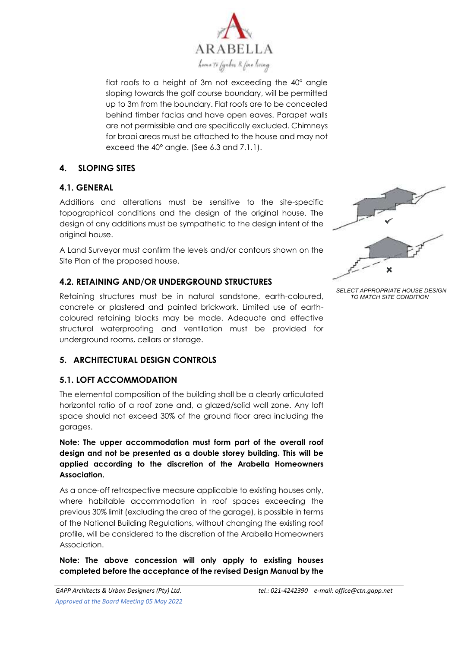

flat roofs to a height of 3m not exceeding the 40° angle sloping towards the golf course boundary, will be permitted up to 3m from the boundary. Flat roofs are to be concealed behind timber facias and have open eaves. Parapet walls are not permissible and are specifically excluded. Chimneys for braai areas must be attached to the house and may not exceed the 40° angle. (See 6.3 and 7.1.1).

# **4. SLOPING SITES**

#### **4.1. GENERAL**

Additions and alterations must be sensitive to the site-specific topographical conditions and the design of the original house. The design of any additions must be sympathetic to the design intent of the original house.

A Land Surveyor must confirm the levels and/or contours shown on the Site Plan of the proposed house.

# **4.2. RETAINING AND/OR UNDERGROUND STRUCTURES**

Retaining structures must be in natural sandstone, earth-coloured, concrete or plastered and painted brickwork. Limited use of earthcoloured retaining blocks may be made. Adequate and effective structural waterproofing and ventilation must be provided for underground rooms, cellars or storage.

# **5. ARCHITECTURAL DESIGN CONTROLS**

#### **5.1. LOFT ACCOMMODATION**

The elemental composition of the building shall be a clearly articulated horizontal ratio of a roof zone and, a glazed/solid wall zone. Any loft space should not exceed 30% of the ground floor area including the garages.

**Note: The upper accommodation must form part of the overall roof design and not be presented as a double storey building. This will be applied according to the discretion of the Arabella Homeowners Association.** 

As a once-off retrospective measure applicable to existing houses only, where habitable accommodation in roof spaces exceeding the previous 30% limit (excluding the area of the garage), is possible in terms of the National Building Regulations, without changing the existing roof profile, will be considered to the discretion of the Arabella Homeowners Association.

**Note: The above concession will only apply to existing houses completed before the acceptance of the revised Design Manual by the** 



*SELECT APPROPRIATE HOUSE DESIGN TO MATCH SITE CONDITION*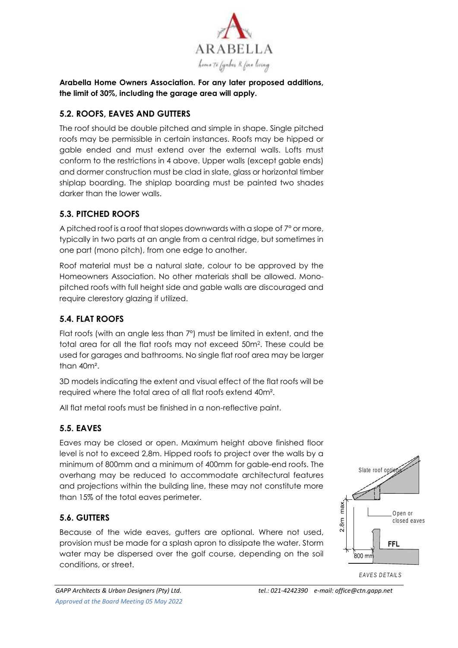

**Arabella Home Owners Association. For any later proposed additions, the limit of 30%, including the garage area will apply.** 

# **5.2. ROOFS, EAVES AND GUTTERS**

The roof should be double pitched and simple in shape. Single pitched roofs may be permissible in certain instances. Roofs may be hipped or gable ended and must extend over the external walls. Lofts must conform to the restrictions in 4 above. Upper walls (except gable ends) and dormer construction must be clad in slate, glass or horizontal timber shiplap boarding. The shiplap boarding must be painted two shades darker than the lower walls.

# **5.3. PITCHED ROOFS**

A pitched roof is a roof that slopes downwards with a slope of 7° or more, typically in two parts at an angle from a central ridge, but sometimes in one part (mono pitch), from one edge to another.

Roof material must be a natural slate, colour to be approved by the Homeowners Association. No other materials shall be allowed. Monopitched roofs with full height side and gable walls are discouraged and require clerestory glazing if utilized.

# **5.4. FLAT ROOFS**

Flat roofs (with an angle less than 7º) must be limited in extent, and the total area for all the flat roofs may not exceed 50m2. These could be used for garages and bathrooms. No single flat roof area may be larger than 40m².

3D models indicating the extent and visual effect of the flat roofs will be required where the total area of all flat roofs extend 40m².

All flat metal roofs must be finished in a non-reflective paint.

# **5.5. EAVES**

Eaves may be closed or open. Maximum height above finished floor level is not to exceed 2,8m. Hipped roofs to project over the walls by a minimum of 800mm and a minimum of 400mm for gable-end roofs. The overhang may be reduced to accommodate architectural features and projections within the building line, these may not constitute more than 15% of the total eaves perimeter.

# **5.6. GUTTERS**

Because of the wide eaves, gutters are optional. Where not used, provision must be made for a splash apron to dissipate the water. Storm water may be dispersed over the golf course, depending on the soil conditions, or street.



*E AV E S D E TA ILS*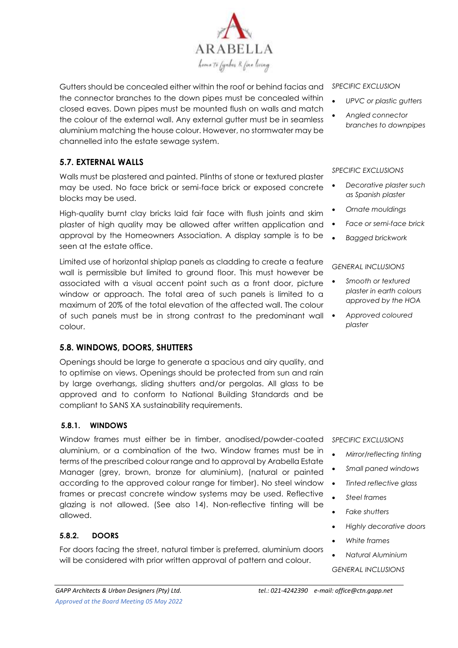

Gutters should be concealed either within the roof or behind facias and the connector branches to the down pipes must be concealed within closed eaves. Down pipes must be mounted flush on walls and match the colour of the external wall. Any external gutter must be in seamless aluminium matching the house colour. However, no stormwater may be channelled into the estate sewage system.

# **5.7. EXTERNAL WALLS**

Walls must be plastered and painted. Plinths of stone or textured plaster may be used. No face brick or semi-face brick or exposed concrete blocks may be used.

High-quality burnt clay bricks laid fair face with flush joints and skim plaster of high quality may be allowed after written application and approval by the Homeowners Association. A display sample is to be seen at the estate office.

Limited use of horizontal shiplap panels as cladding to create a feature wall is permissible but limited to ground floor. This must however be associated with a visual accent point such as a front door, picture window or approach. The total area of such panels is limited to a maximum of 20% of the total elevation of the affected wall. The colour of such panels must be in strong contrast to the predominant wall colour.

#### **5.8. WINDOWS, DOORS, SHUTTERS**

Openings should be large to generate a spacious and airy quality, and to optimise on views. Openings should be protected from sun and rain by large overhangs, sliding shutters and/or pergolas. All glass to be approved and to conform to National Building Standards and be compliant to SANS XA sustainability requirements.

#### **5.8.1. WINDOWS**

Window frames must either be in timber, anodised/powder-coated aluminium, or a combination of the two. Window frames must be in terms of the prescribed colour range and to approval by Arabella Estate Manager (grey, brown, bronze for aluminium), (natural or painted according to the approved colour range for timber). No steel window frames or precast concrete window systems may be used. Reflective glazing is not allowed. (See also 14). Non-reflective tinting will be allowed.

#### **5.8.2. DOORS**

For doors facing the street, natural timber is preferred, aluminium doors will be considered with prior written approval of pattern and colour.

#### *SPECIFIC EXCLUSION*

- *UPVC or plastic gutters*
- *Angled connector branches to downpipes*

#### *SPECIFIC EXCLUSIONS*

- *Decorative plaster such as Spanish plaster*
- *Ornate mouldings*
- *Face or semi-face brick*
- *Bagged brickwork*

#### *GENERAL INCLUSIONS*

- *Smooth or textured plaster in earth colours approved by the HOA*
- *Approved coloured plaster*

#### *SPECIFIC EXCLUSIONS*

- *Mirror/reflecting tinting*
- *Small paned windows*
- *Tinted reflective glass*
- *Steel frames*
- *Fake shutters*
- *Highly decorative doors*
- *White frames*
	- *Natural Aluminium*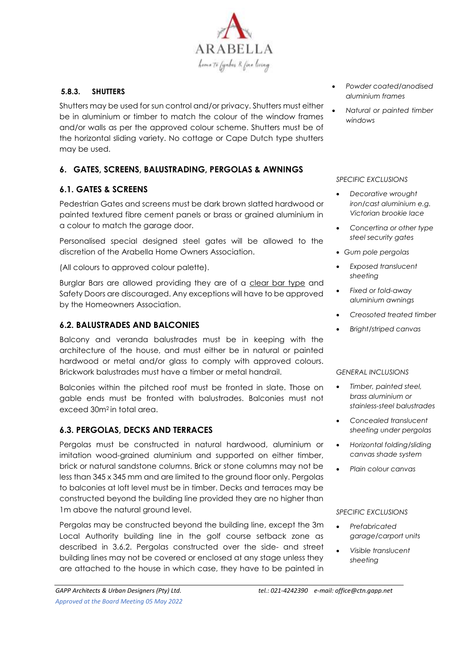

#### **5.8.3. SHUTTERS**

Shutters may be used for sun control and/or privacy. Shutters must either be in aluminium or timber to match the colour of the window frames and/or walls as per the approved colour scheme. Shutters must be of the horizontal sliding variety. No cottage or Cape Dutch type shutters may be used.

# **6. GATES, SCREENS, BALUSTRADING, PERGOLAS & AWNINGS**

#### **6.1. GATES & SCREENS**

Pedestrian Gates and screens must be dark brown slatted hardwood or painted textured fibre cement panels or brass or grained aluminium in a colour to match the garage door.

Personalised special designed steel gates will be allowed to the discretion of the Arabella Home Owners Association.

(All colours to approved colour palette).

Burglar Bars are allowed providing they are of a clear bar type and Safety Doors are discouraged. Any exceptions will have to be approved by the Homeowners Association.

#### **6.2. BALUSTRADES AND BALCONIES**

Balcony and veranda balustrades must be in keeping with the architecture of the house, and must either be in natural or painted hardwood or metal and/or glass to comply with approved colours. Brickwork balustrades must have a timber or metal handrail.

Balconies within the pitched roof must be fronted in slate. Those on gable ends must be fronted with balustrades. Balconies must not exceed 30m2 in total area.

#### **6.3. PERGOLAS, DECKS AND TERRACES**

Pergolas must be constructed in natural hardwood, aluminium or imitation wood-grained aluminium and supported on either timber, brick or natural sandstone columns. Brick or stone columns may not be less than 345 x 345 mm and are limited to the ground floor only. Pergolas to balconies at loft level must be in timber. Decks and terraces may be constructed beyond the building line provided they are no higher than 1m above the natural ground level.

Pergolas may be constructed beyond the building line, except the 3m Local Authority building line in the golf course setback zone as described in 3.6.2. Pergolas constructed over the side- and street building lines may not be covered or enclosed at any stage unless they are attached to the house in which case, they have to be painted in

• *Natural or painted timber windows*

#### *SPECIFIC EXCLUSIONS*

- *Decorative wrought iron/cast aluminium e.g. Victorian brookie lace*
- *Concertina or other type steel security gates*
- *Gum pole pergolas*
- *Exposed translucent sheeting*
- *Fixed or fold-away aluminium awnings*
- *Creosoted treated timber*
- *Bright/striped canvas*

#### *GENERAL INCLUSIONS*

- *Timber, painted steel, brass aluminium or stainless-steel balustrades*
- *Concealed translucent sheeting under pergolas*
- *Horizontal folding/sliding canvas shade system*
- *Plain colour canvas*

- *Prefabricated garage/carport units*
- *Visible translucent sheeting*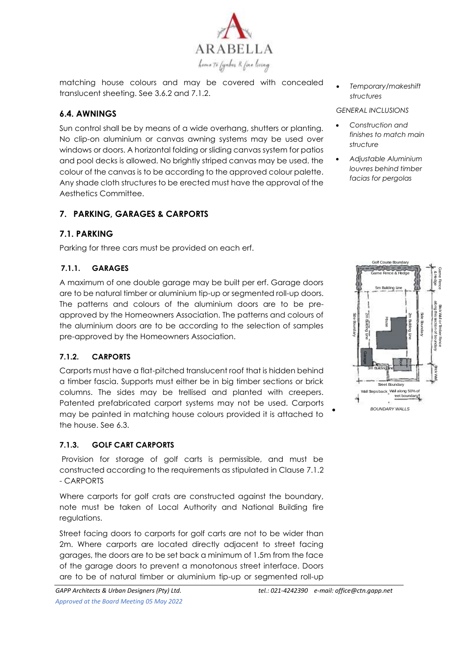

matching house colours and may be covered with concealed translucent sheeting. See 3.6.2 and 7.1.2.

# **6.4. AWNINGS**

Sun control shall be by means of a wide overhang, shutters or planting. No clip-on aluminium or canvas awning systems may be used over windows or doors. A horizontal folding or sliding canvas system for patios and pool decks is allowed. No brightly striped canvas may be used. the colour of the canvas is to be according to the approved colour palette. Any shade cloth structures to be erected must have the approval of the Aesthetics Committee.

# **7. PARKING, GARAGES & CARPORTS**

# **7.1. PARKING**

Parking for three cars must be provided on each erf.

# **7.1.1. GARAGES**

A maximum of one double garage may be built per erf. Garage doors are to be natural timber or aluminium tip-up or segmented roll-up doors. The patterns and colours of the aluminium doors are to be preapproved by the Homeowners Association. The patterns and colours of the aluminium doors are to be according to the selection of samples pre-approved by the Homeowners Association.

#### **7.1.2. CARPORTS**

Carports must have a flat-pitched translucent roof that is hidden behind a timber fascia. Supports must either be in big timber sections or brick columns. The sides may be trellised and planted with creepers. Patented prefabricated carport systems may not be used. Carports may be painted in matching house colours provided it is attached to the house. See 6.3.

#### **7.1.3. GOLF CART CARPORTS**

Provision for storage of golf carts is permissible, and must be constructed according to the requirements as stipulated in Clause 7.1.2 - CARPORTS

Where carports for golf crats are constructed against the boundary, note must be taken of Local Authority and National Building fire regulations.

Street facing doors to carports for golf carts are not to be wider than 2m. Where carports are located directly adjacent to street facing garages, the doors are to be set back a minimum of 1.5m from the face of the garage doors to prevent a monotonous street interface. Doors are to be of natural timber or aluminium tip-up or segmented roll-up

- *Construction and finishes to match main structure*
- *Adjustable Aluminium louvres behind timber facias for pergolas*

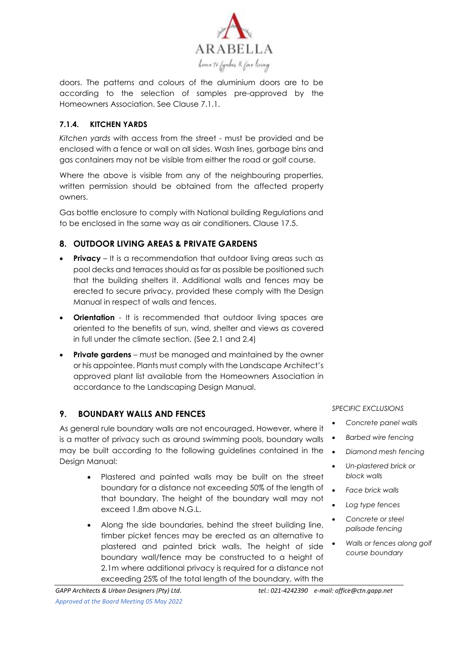

doors. The patterns and colours of the aluminium doors are to be according to the selection of samples pre-approved by the Homeowners Association. See Clause 7.1.1.

#### **7.1.4. KITCHEN YARDS**

*Kitchen yards* with access from the street - must be provided and be enclosed with a fence or wall on all sides. Wash lines, garbage bins and gas containers may not be visible from either the road or golf course.

Where the above is visible from any of the neighbouring properties, written permission should be obtained from the affected property owners.

Gas bottle enclosure to comply with National building Regulations and to be enclosed in the same way as air conditioners. Clause 17.5.

# **8. OUTDOOR LIVING AREAS & PRIVATE GARDENS**

- **Privacy** It is a recommendation that outdoor living areas such as pool decks and terraces should as far as possible be positioned such that the building shelters it. Additional walls and fences may be erected to secure privacy, provided these comply with the Design Manual in respect of walls and fences.
- **Orientation** It is recommended that outdoor living spaces are oriented to the benefits of sun, wind, shelter and views as covered in full under the climate section. (See 2.1 and 2.4)
- **Private gardens** must be managed and maintained by the owner or his appointee. Plants must comply with the Landscape Architect's approved plant list available from the Homeowners Association in accordance to the Landscaping Design Manual.

# **9. BOUNDARY WALLS AND FENCES**

As general rule boundary walls are not encouraged. However, where it is a matter of privacy such as around swimming pools, boundary walls may be built according to the following guidelines contained in the Design Manual:

- Plastered and painted walls may be built on the street boundary for a distance not exceeding 50% of the length of that boundary. The height of the boundary wall may not exceed 1.8m above N.G.L.
- Along the side boundaries, behind the street building line, timber picket fences may be erected as an alternative to plastered and painted brick walls. The height of side boundary wall/fence may be constructed to a height of 2.1m where additional privacy is required for a distance not exceeding 25% of the total length of the boundary, with the

- *Concrete panel walls*
- *Barbed wire fencing*
- *Diamond mesh fencing*
	- *Un-plastered brick or block walls*
	- *Face brick walls*
	- *Log type fences*
	- *Concrete or steel palisade fencing*
	- *Walls or fences along golf course boundary*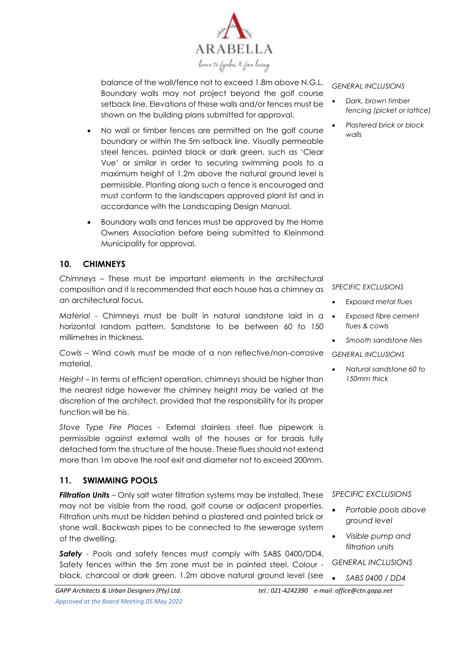

balance of the wall/fence not to exceed 1.8m above N.G.L. Boundary walls may not project beyond the golf course setback line. Elevations of these walls and/or fences must be shown on the building plans submitted for approval.

- No wall or timber fences are permitted on the golf course boundary or within the 5m setback line. Visually permeable steel fences, painted black or dark green, such as 'Clear Vue' or similar in order to securing swimming pools to a maximum height of 1.2m above the natural ground level is permissible. Planting along such a fence is encouraged and must conform to the landscapers approved plant list and in accordance with the Landscaping Design Manual.
- Boundary walls and fences must be approved by the Home Owners Association before being submitted to Kleinmond Municipality for approval.

#### **10. CHIMNEYS**

*Chimneys* – These must be important elements in the architectural composition and it is recommended that each house has a chimney as an architectural focus.

*Material* - Chimneys must be built in natural sandstone laid in a horizontal random pattern. Sandstone to be between 60 to 150 millimetres in thickness.

*Cowls* – Wind cowls must be made of a non reflective/non-corrosive material.

*Height* – In terms of efficient operation, chimneys should be higher than the nearest ridge however the chimney height may be varied at the discretion of the architect, provided that the responsibility for its proper function will be his.

*Stove Type Fire Places* - External stainless steel flue pipework is permissible against external walls of the houses or for braais fully detached form the structure of the house. These flues should not extend more than 1m above the roof exit and diameter not to exceed 200mm.

#### **11. SWIMMING POOLS**

*Filtration Units* – Only salt water filtration systems may be installed. These may not be visible from the road, golf course or adjacent properties. Filtration units must be hidden behind a plastered and painted brick or stone wall. Backwash pipes to be connected to the sewerage system of the dwelling.

*Safety -* Pools and safety fences must comply with SABS 0400/DD4. Safety fences within the 5m zone must be in painted steel. Colour black, charcoal or dark green. 1.2m above natural ground level (see

*GENERAL INCLUSIONS*

- *Dark, brown timber fencing (picket or lattice)*
- *Plastered brick or block walls*

*SPECIFIC EXCLUSIONS*

- *Exposed metal flues*
- *Exposed fibre cement flues & cowls*
- *Smooth sandstone tiles*

*GENERAL INCLUSIONS*

• *Natural sandstone 60 to 150mm thick*

#### *SPECIFIC EXCLUSIONS*

- *Portable pools above ground level*
- *Visible pump and filtration units*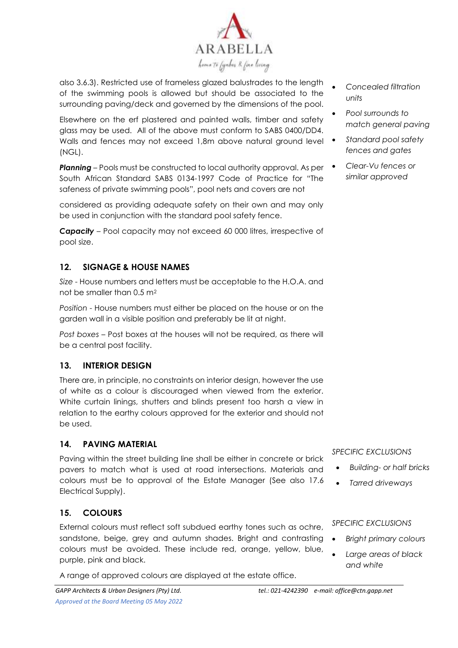

also 3.6.3). Restricted use of frameless glazed balustrades to the length of the swimming pools is allowed but should be associated to the surrounding paving/deck and governed by the dimensions of the pool.

Elsewhere on the erf plastered and painted walls, timber and safety glass may be used. All of the above must conform to SABS 0400/DD4. Walls and fences may not exceed 1,8m above natural ground level (NGL).

*Planning –* Pools must be constructed to local authority approval. As per South African Standard SABS 0134-1997 Code of Practice for "The safeness of private swimming pools", pool nets and covers are not

considered as providing adequate safety on their own and may only be used in conjunction with the standard pool safety fence.

*Capacity –* Pool capacity may not exceed 60 000 litres, irrespective of pool size.

# **12. SIGNAGE & HOUSE NAMES**

*Size* - House numbers and letters must be acceptable to the H.O.A. and not be smaller than 0.5 m<sup>2</sup>

*Position* - House numbers must either be placed on the house or on the garden wall in a visible position and preferably be lit at night.

*Post boxes* – Post boxes at the houses will not be required, as there will be a central post facility.

#### **13. INTERIOR DESIGN**

There are, in principle, no constraints on interior design, however the use of white as a colour is discouraged when viewed from the exterior. White curtain linings, shutters and blinds present too harsh a view in relation to the earthy colours approved for the exterior and should not be used.

#### **14. PAVING MATERIAL**

Paving within the street building line shall be either in concrete or brick pavers to match what is used at road intersections. Materials and colours must be to approval of the Estate Manager (See also 17.6 Electrical Supply).

#### **15. COLOURS**

External colours must reflect soft subdued earthy tones such as ochre, sandstone, beige, grey and autumn shades. Bright and contrasting colours must be avoided. These include red, orange, yellow, blue, purple, pink and black.

A range of approved colours are displayed at the estate office.

• *Concealed filtration units*

- *Pool surrounds to match general paving*
- *Standard pool safety fences and gates*
- *Clear-Vu fences or similar approved*

#### *SPECIFIC EXCLUSIONS*

- *Building- or half bricks*
- *Tarred driveways*

- *Bright primary colours*
- *Large areas of black and white*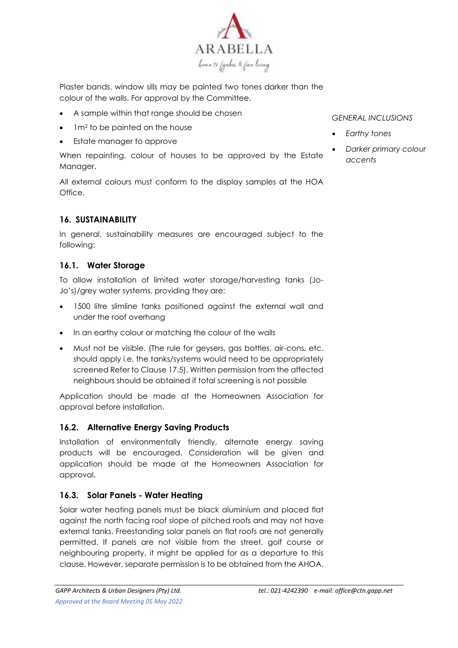

Plaster bands, window sills may be painted two tones darker than the colour of the walls. For approval by the Committee.

- A sample within that range should be chosen
- 1m<sup>2</sup> to be painted on the house
- Estate manager to approve

When repainting, colour of houses to be approved by the Estate Manager.

All external colours must conform to the display samples at the HOA Office.

# **16. SUSTAINABILITY**

In general, sustainability measures are encouraged subject to the following:

# **16.1. Water Storage**

To allow installation of limited water storage/harvesting tanks (Jo-Jo's)/grey water systems, providing they are:

- 1500 litre slimline tanks positioned against the external wall and under the roof overhang
- In an earthy colour or matching the colour of the walls
- Must not be visible. (The rule for geysers, gas bottles, air-cons, etc. should apply i.e. the tanks/systems would need to be appropriately screened Refer to Clause 17.5). Written permission from the affected neighbours should be obtained if total screening is not possible

Application should be made at the Homeowners Association for approval before installation.

#### **16.2. Alternative Energy Saving Products**

Installation of environmentally friendly, alternate energy saving products will be encouraged. Consideration will be given and application should be made at the Homeowners Association for approval.

#### **16.3. Solar Panels - Water Heating**

Solar water heating panels must be black aluminium and placed flat against the north facing roof slope of pitched roofs and may not have external tanks. Freestanding solar panels on flat roofs are not generally permitted. If panels are not visible from the street, golf course or neighbouring property, it might be applied for as a departure to this clause. However, separate permission is to be obtained from the AHOA.

- *Earthy tones*
- *Darker primary colour accents*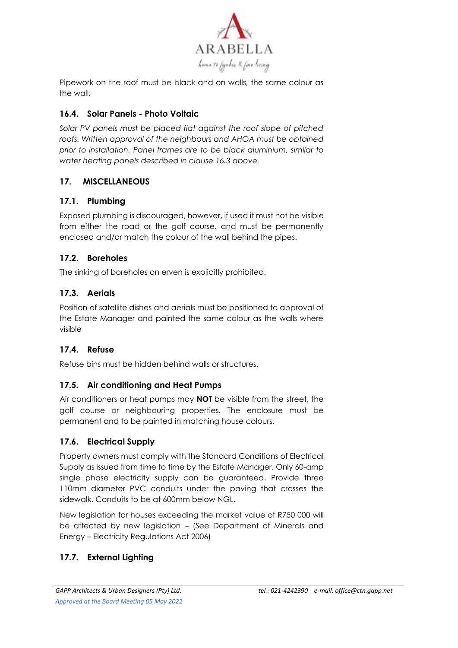

Pipework on the roof must be black and on walls, the same colour as the wall.

# **16.4. Solar Panels - Photo Voltaic**

*Solar PV panels must be placed flat against the roof slope of pitched*  roofs. Written approval of the neighbours and AHOA must be obtained *prior to installation. Panel frames are to be black aluminium, similar to water heating panels described in clause 16.3 above.*

# **17. MISCELLANEOUS**

# **17.1. Plumbing**

Exposed plumbing is discouraged, however, if used it must not be visible from either the road or the golf course. and must be permanently enclosed and/or match the colour of the wall behind the pipes.

# **17.2. Boreholes**

The sinking of boreholes on erven is explicitly prohibited.

# **17.3. Aerials**

Position of satellite dishes and aerials must be positioned to approval of the Estate Manager and painted the same colour as the walls where visible

# **17.4. Refuse**

Refuse bins must be hidden behind walls or structures.

# **17.5. Air conditioning and Heat Pumps**

Air conditioners or heat pumps may **NOT** be visible from the street, the golf course or neighbouring properties*.* The enclosure must be permanent and to be painted in matching house colours.

# **17.6. Electrical Supply**

Property owners must comply with the Standard Conditions of Electrical Supply as issued from time to time by the Estate Manager. Only 60-amp single phase electricity supply can be guaranteed. Provide three 110mm diameter PVC conduits under the paving that crosses the sidewalk. Conduits to be at 600mm below NGL.

New legislation for houses exceeding the market value of R750 000 will be affected by new legislation – (See Department of Minerals and Energy – Electricity Regulations Act 2006)

# **17.7. External Lighting**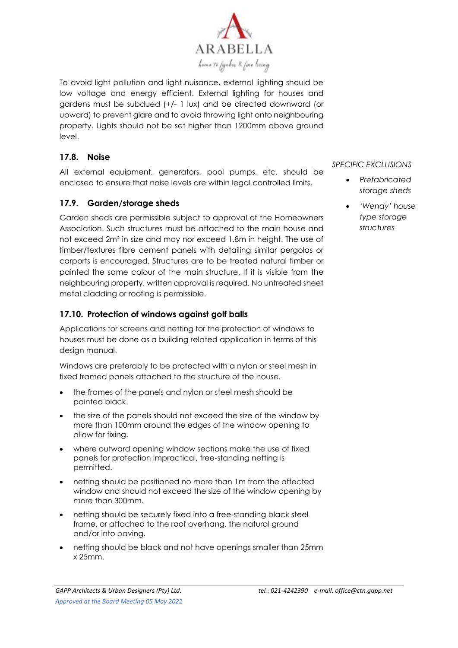

To avoid light pollution and light nuisance, external lighting should be low voltage and energy efficient. External lighting for houses and gardens must be subdued (+/- 1 lux) and be directed downward (or upward) to prevent glare and to avoid throwing light onto neighbouring property. Lights should not be set higher than 1200mm above ground level.

# **17.8. Noise**

All external equipment, generators, pool pumps, etc. should be enclosed to ensure that noise levels are within legal controlled limits.

# **17.9. Garden/storage sheds**

Garden sheds are permissible subject to approval of the Homeowners Association. Such structures must be attached to the main house and not exceed 2m² in size and may nor exceed 1.8m in height. The use of timber/textures fibre cement panels with detailing similar pergolas or carports is encouraged. Structures are to be treated natural timber or painted the same colour of the main structure. If it is visible from the neighbouring property, written approval is required. No untreated sheet metal cladding or roofing is permissible.

#### **17.10. Protection of windows against golf balls**

Applications for screens and netting for the protection of windows to houses must be done as a building related application in terms of this desian manual.

Windows are preferably to be protected with a nylon or steel mesh in fixed framed panels attached to the structure of the house.

- the frames of the panels and nylon or steel mesh should be painted black.
- the size of the panels should not exceed the size of the window by more than 100mm around the edges of the window opening to allow for fixing.
- where outward opening window sections make the use of fixed panels for protection impractical, free-standing netting is permitted.
- netting should be positioned no more than 1m from the affected window and should not exceed the size of the window opening by more than 300mm.
- netting should be securely fixed into a free-standing black steel frame, or attached to the roof overhang, the natural ground and/or into paving.
- netting should be black and not have openings smaller than 25mm x 25mm.

- *Prefabricated storage sheds*
- *'Wendy' house type storage structures*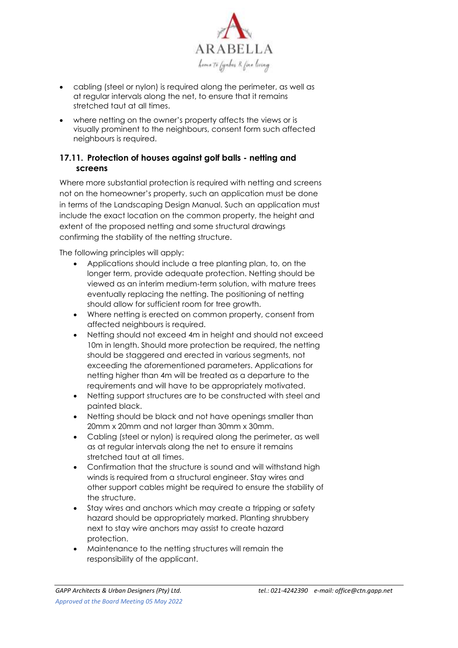

- cabling (steel or nylon) is required along the perimeter, as well as at regular intervals along the net, to ensure that it remains stretched taut at all times.
- where netting on the owner's property affects the views or is visually prominent to the neighbours, consent form such affected neighbours is required.

# **17.11. Protection of houses against golf balls - netting and screens**

Where more substantial protection is required with netting and screens not on the homeowner's property, such an application must be done in terms of the Landscaping Design Manual. Such an application must include the exact location on the common property, the height and extent of the proposed netting and some structural drawings confirming the stability of the netting structure.

The following principles will apply:

- Applications should include a tree planting plan, to, on the longer term, provide adequate protection. Netting should be viewed as an interim medium-term solution, with mature trees eventually replacing the netting. The positioning of netting should allow for sufficient room for tree growth.
- Where netting is erected on common property, consent from affected neighbours is required.
- Netting should not exceed 4m in height and should not exceed 10m in length. Should more protection be required, the netting should be staggered and erected in various segments, not exceeding the aforementioned parameters. Applications for netting higher than 4m will be treated as a departure to the requirements and will have to be appropriately motivated.
- Netting support structures are to be constructed with steel and painted black.
- Netting should be black and not have openings smaller than 20mm x 20mm and not larger than 30mm x 30mm.
- Cabling (steel or nylon) is required along the perimeter, as well as at regular intervals along the net to ensure it remains stretched taut at all times.
- Confirmation that the structure is sound and will withstand high winds is required from a structural engineer. Stay wires and other support cables might be required to ensure the stability of the structure.
- Stay wires and anchors which may create a tripping or safety hazard should be appropriately marked. Planting shrubbery next to stay wire anchors may assist to create hazard protection.
- Maintenance to the netting structures will remain the responsibility of the applicant.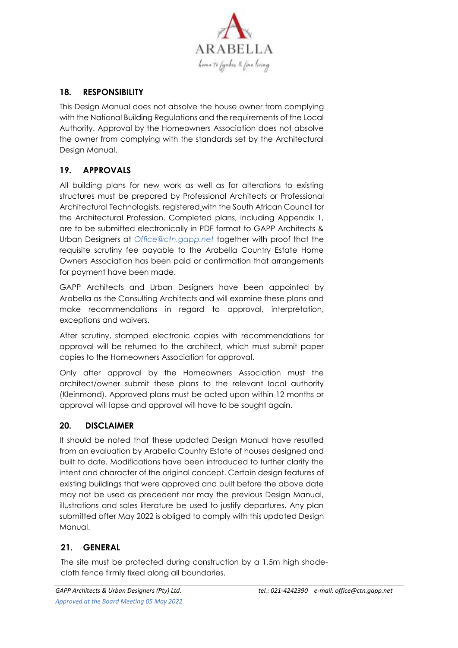

# **18. RESPONSIBILITY**

This Design Manual does not absolve the house owner from complying with the National Building Regulations and the requirements of the Local Authority. Approval by the Homeowners Association does not absolve the owner from complying with the standards set by the Architectural Design Manual.

# **19. APPROVALS**

All building plans for new work as well as for alterations to existing structures must be prepared by Professional Architects or Professional Architectural Technologists, registered with the South African Council for the Architectural Profession. Completed plans, including Appendix 1, are to be submitted electronically in PDF format to GAPP Architects & Urban Designers at *Office@ctn.gapp.net* together with proof that the requisite scrutiny fee payable to the Arabella Country Estate Home Owners Association has been paid or confirmation that arrangements for payment have been made.

GAPP Architects and Urban Designers have been appointed by Arabella as the Consulting Architects and will examine these plans and make recommendations in regard to approval, interpretation, exceptions and waivers.

After scrutiny, stamped electronic copies with recommendations for approval will be returned to the architect, which must submit paper copies to the Homeowners Association for approval.

Only after approval by the Homeowners Association must the architect/owner submit these plans to the relevant local authority (Kleinmond). Approved plans must be acted upon within 12 months or approval will lapse and approval will have to be sought again.

#### **20. DISCLAIMER**

It should be noted that these updated Design Manual have resulted from an evaluation by Arabella Country Estate of houses designed and built to date. Modifications have been introduced to further clarify the intent and character of the original concept. Certain design features of existing buildings that were approved and built before the above date may not be used as precedent nor may the previous Design Manual, illustrations and sales literature be used to justify departures. Any plan submitted after May 2022 is obliged to comply with this updated Design Manual.

#### **21. GENERAL**

The site must be protected during construction by a 1.5m high shadecloth fence firmly fixed along all boundaries.